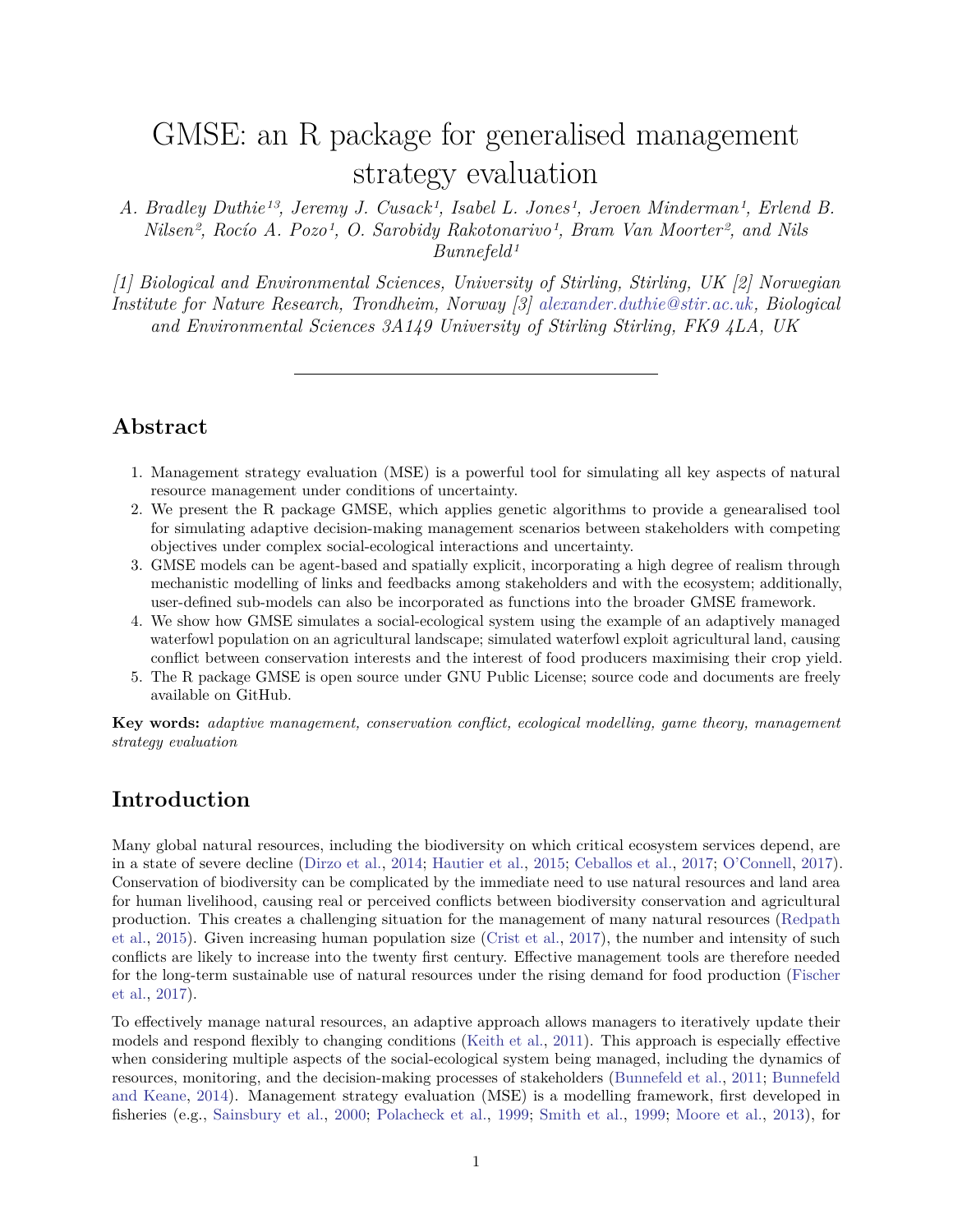# <span id="page-0-0"></span>GMSE: an R package for generalised management strategy evaluation

*A. Bradley Duthie13, Jeremy J. Cusack1, Isabel L. Jones1, Jeroen Minderman1, Erlend B. Nilsen2, Rocío A. Pozo1, O. Sarobidy Rakotonarivo1, Bram Van Moorter2, and Nils Bunnefeld1*

*[1] Biological and Environmental Sciences, University of Stirling, Stirling, UK [2] Norwegian Institute for Nature Research, Trondheim, Norway [3] [alexander.duthie@stir.ac.uk,](mailto:alexander.duthie@stir.ac.uk) Biological and Environmental Sciences 3A149 University of Stirling Stirling, FK9 4LA, UK*

# **Abstract**

- 1. Management strategy evaluation (MSE) is a powerful tool for simulating all key aspects of natural resource management under conditions of uncertainty.
- 2. We present the R package GMSE, which applies genetic algorithms to provide a genearalised tool for simulating adaptive decision-making management scenarios between stakeholders with competing objectives under complex social-ecological interactions and uncertainty.
- 3. GMSE models can be agent-based and spatially explicit, incorporating a high degree of realism through mechanistic modelling of links and feedbacks among stakeholders and with the ecosystem; additionally, user-defined sub-models can also be incorporated as functions into the broader GMSE framework.
- 4. We show how GMSE simulates a social-ecological system using the example of an adaptively managed waterfowl population on an agricultural landscape; simulated waterfowl exploit agricultural land, causing conflict between conservation interests and the interest of food producers maximising their crop yield.
- 5. The R package GMSE is open source under GNU Public License; source code and documents are freely available on GitHub.

**Key words:** *adaptive management, conservation conflict, ecological modelling, game theory, management strategy evaluation*

### **Introduction**

Many global natural resources, including the biodiversity on which critical ecosystem services depend, are in a state of severe decline [\(Dirzo et al.,](#page-7-0) [2014;](#page-7-0) [Hautier et al.,](#page-8-0) [2015;](#page-8-0) [Ceballos et al.,](#page-7-1) [2017;](#page-7-1) [O'Connell,](#page-8-1) [2017\)](#page-8-1). Conservation of biodiversity can be complicated by the immediate need to use natural resources and land area for human livelihood, causing real or perceived conflicts between biodiversity conservation and agricultural production. This creates a challenging situation for the management of many natural resources [\(Redpath](#page-9-0) [et al.,](#page-9-0) [2015\)](#page-9-0). Given increasing human population size [\(Crist et al.,](#page-7-2) [2017\)](#page-7-2), the number and intensity of such conflicts are likely to increase into the twenty first century. Effective management tools are therefore needed for the long-term sustainable use of natural resources under the rising demand for food production [\(Fischer](#page-8-2) [et al.,](#page-8-2) [2017\)](#page-8-2).

To effectively manage natural resources, an adaptive approach allows managers to iteratively update their models and respond flexibly to changing conditions [\(Keith et al.,](#page-8-3) [2011\)](#page-8-3). This approach is especially effective when considering multiple aspects of the social-ecological system being managed, including the dynamics of resources, monitoring, and the decision-making processes of stakeholders [\(Bunnefeld et al.,](#page-7-3) [2011;](#page-7-3) [Bunnefeld](#page-7-4) [and Keane,](#page-7-4) [2014\)](#page-7-4). Management strategy evaluation (MSE) is a modelling framework, first developed in fisheries (e.g., [Sainsbury et al.,](#page-9-1) [2000;](#page-9-1) [Polacheck et al.,](#page-8-4) [1999;](#page-8-4) [Smith et al.,](#page-9-2) [1999;](#page-9-2) [Moore et al.,](#page-8-5) [2013\)](#page-8-5), for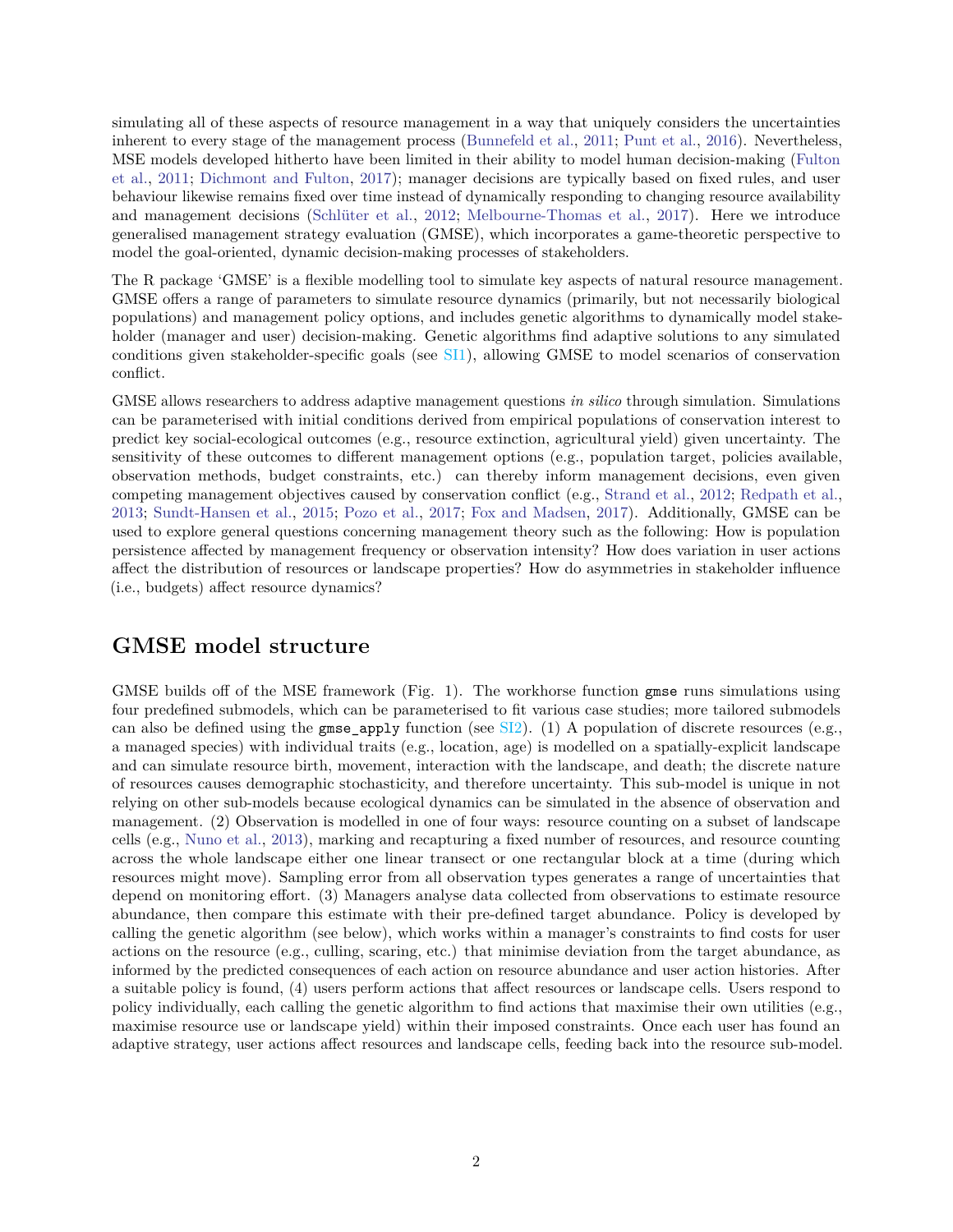simulating all of these aspects of resource management in a way that uniquely considers the uncertainties inherent to every stage of the management process [\(Bunnefeld et al.,](#page-7-3) [2011;](#page-7-3) [Punt et al.,](#page-9-3) [2016\)](#page-9-3). Nevertheless, MSE models developed hitherto have been limited in their ability to model human decision-making [\(Fulton](#page-8-6) [et al.,](#page-8-6) [2011;](#page-8-6) [Dichmont and Fulton,](#page-7-5) [2017\)](#page-7-5); manager decisions are typically based on fixed rules, and user behaviour likewise remains fixed over time instead of dynamically responding to changing resource availability and management decisions [\(Schlüter et al.,](#page-9-4) [2012;](#page-9-4) [Melbourne-Thomas et al.,](#page-8-7) [2017\)](#page-8-7). Here we introduce generalised management strategy evaluation (GMSE), which incorporates a game-theoretic perspective to model the goal-oriented, dynamic decision-making processes of stakeholders.

The R package 'GMSE' is a flexible modelling tool to simulate key aspects of natural resource management. GMSE offers a range of parameters to simulate resource dynamics (primarily, but not necessarily biological populations) and management policy options, and includes genetic algorithms to dynamically model stakeholder (manager and user) decision-making. Genetic algorithms find adaptive solutions to any simulated conditions given stakeholder-specific goals (see [SI1\)](#page-0-0), allowing GMSE to model scenarios of conservation conflict.

GMSE allows researchers to address adaptive management questions *in silico* through simulation. Simulations can be parameterised with initial conditions derived from empirical populations of conservation interest to predict key social-ecological outcomes (e.g., resource extinction, agricultural yield) given uncertainty. The sensitivity of these outcomes to different management options (e.g., population target, policies available, observation methods, budget constraints, etc.) can thereby inform management decisions, even given competing management objectives caused by conservation conflict (e.g., [Strand et al.,](#page-9-5) [2012;](#page-9-5) [Redpath et al.,](#page-9-6) [2013;](#page-9-6) [Sundt-Hansen et al.,](#page-9-7) [2015;](#page-9-7) [Pozo et al.,](#page-9-8) [2017;](#page-9-8) [Fox and Madsen,](#page-8-8) [2017\)](#page-8-8). Additionally, GMSE can be used to explore general questions concerning management theory such as the following: How is population persistence affected by management frequency or observation intensity? How does variation in user actions affect the distribution of resources or landscape properties? How do asymmetries in stakeholder influence (i.e., budgets) affect resource dynamics?

#### **GMSE model structure**

GMSE builds off of the MSE framework (Fig. 1). The workhorse function gmse runs simulations using four predefined submodels, which can be parameterised to fit various case studies; more tailored submodels can also be defined using the gmse\_apply function (see  $SI2$ ). (1) A population of discrete resources (e.g., a managed species) with individual traits (e.g., location, age) is modelled on a spatially-explicit landscape and can simulate resource birth, movement, interaction with the landscape, and death; the discrete nature of resources causes demographic stochasticity, and therefore uncertainty. This sub-model is unique in not relying on other sub-models because ecological dynamics can be simulated in the absence of observation and management. (2) Observation is modelled in one of four ways: resource counting on a subset of landscape cells (e.g., [Nuno et al.,](#page-8-9) [2013\)](#page-8-9), marking and recapturing a fixed number of resources, and resource counting across the whole landscape either one linear transect or one rectangular block at a time (during which resources might move). Sampling error from all observation types generates a range of uncertainties that depend on monitoring effort. (3) Managers analyse data collected from observations to estimate resource abundance, then compare this estimate with their pre-defined target abundance. Policy is developed by calling the genetic algorithm (see below), which works within a manager's constraints to find costs for user actions on the resource (e.g., culling, scaring, etc.) that minimise deviation from the target abundance, as informed by the predicted consequences of each action on resource abundance and user action histories. After a suitable policy is found, (4) users perform actions that affect resources or landscape cells. Users respond to policy individually, each calling the genetic algorithm to find actions that maximise their own utilities (e.g., maximise resource use or landscape yield) within their imposed constraints. Once each user has found an adaptive strategy, user actions affect resources and landscape cells, feeding back into the resource sub-model.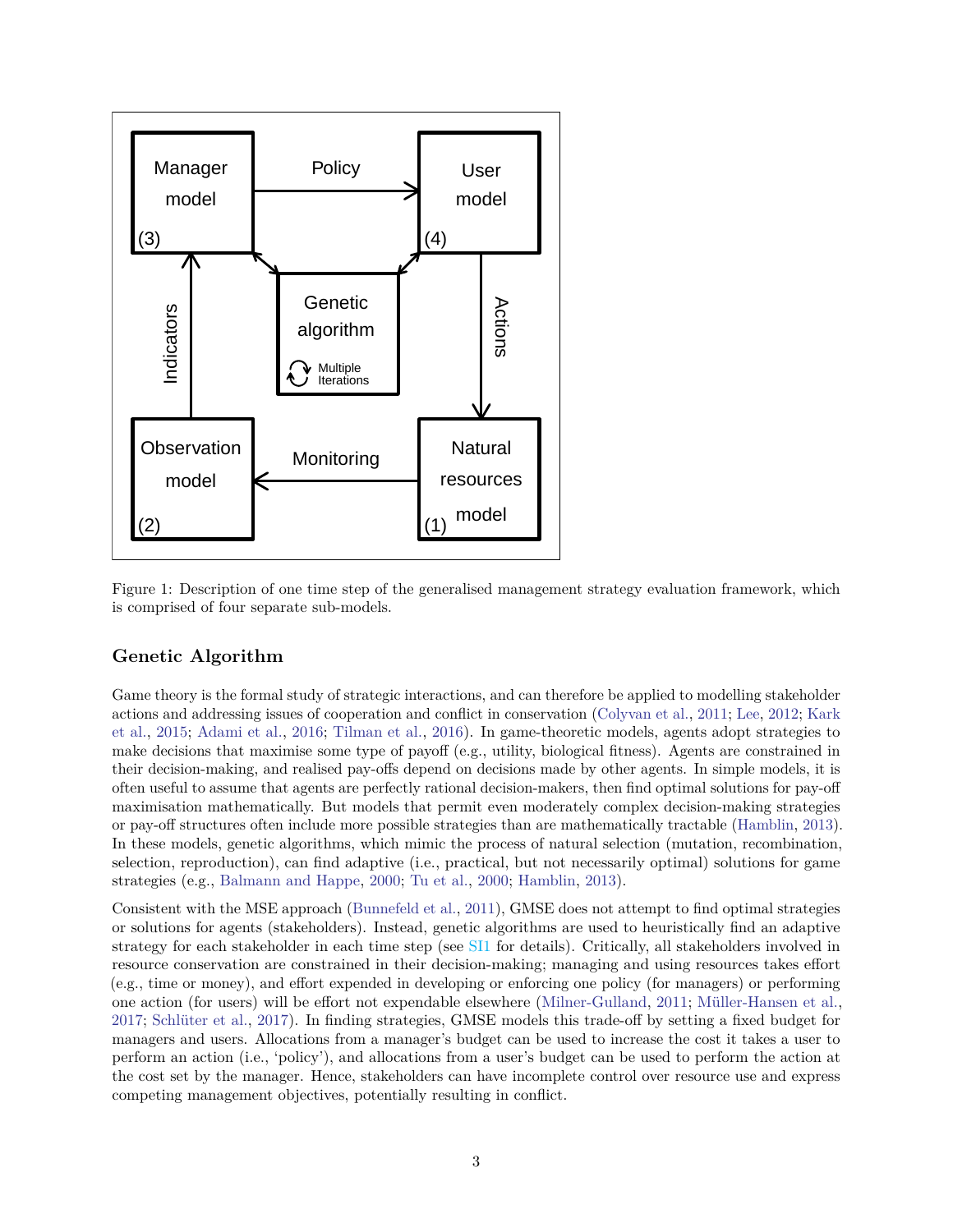

Figure 1: Description of one time step of the generalised management strategy evaluation framework, which is comprised of four separate sub-models.

#### **Genetic Algorithm**

Game theory is the formal study of strategic interactions, and can therefore be applied to modelling stakeholder actions and addressing issues of cooperation and conflict in conservation [\(Colyvan et al.,](#page-7-6) [2011;](#page-7-6) [Lee,](#page-8-10) [2012;](#page-8-10) [Kark](#page-8-11) [et al.,](#page-8-11) [2015;](#page-8-11) [Adami et al.,](#page-7-7) [2016;](#page-7-7) [Tilman et al.,](#page-9-9) [2016\)](#page-9-9). In game-theoretic models, agents adopt strategies to make decisions that maximise some type of payoff (e.g., utility, biological fitness). Agents are constrained in their decision-making, and realised pay-offs depend on decisions made by other agents. In simple models, it is often useful to assume that agents are perfectly rational decision-makers, then find optimal solutions for pay-off maximisation mathematically. But models that permit even moderately complex decision-making strategies or pay-off structures often include more possible strategies than are mathematically tractable [\(Hamblin,](#page-8-12) [2013\)](#page-8-12). In these models, genetic algorithms, which mimic the process of natural selection (mutation, recombination, selection, reproduction), can find adaptive (i.e., practical, but not necessarily optimal) solutions for game strategies (e.g., [Balmann and Happe,](#page-7-8) [2000;](#page-7-8) [Tu et al.,](#page-9-10) [2000;](#page-9-10) [Hamblin,](#page-8-12) [2013\)](#page-8-12).

Consistent with the MSE approach [\(Bunnefeld et al.,](#page-7-3) [2011\)](#page-7-3), GMSE does not attempt to find optimal strategies or solutions for agents (stakeholders). Instead, genetic algorithms are used to heuristically find an adaptive strategy for each stakeholder in each time step (see [SI1](#page-0-0) for details). Critically, all stakeholders involved in resource conservation are constrained in their decision-making; managing and using resources takes effort (e.g., time or money), and effort expended in developing or enforcing one policy (for managers) or performing one action (for users) will be effort not expendable elsewhere [\(Milner-Gulland,](#page-8-13) [2011;](#page-8-13) [Müller-Hansen et al.,](#page-8-14) [2017;](#page-8-14) [Schlüter et al.,](#page-9-11) [2017\)](#page-9-11). In finding strategies, GMSE models this trade-off by setting a fixed budget for managers and users. Allocations from a manager's budget can be used to increase the cost it takes a user to perform an action (i.e., 'policy'), and allocations from a user's budget can be used to perform the action at the cost set by the manager. Hence, stakeholders can have incomplete control over resource use and express competing management objectives, potentially resulting in conflict.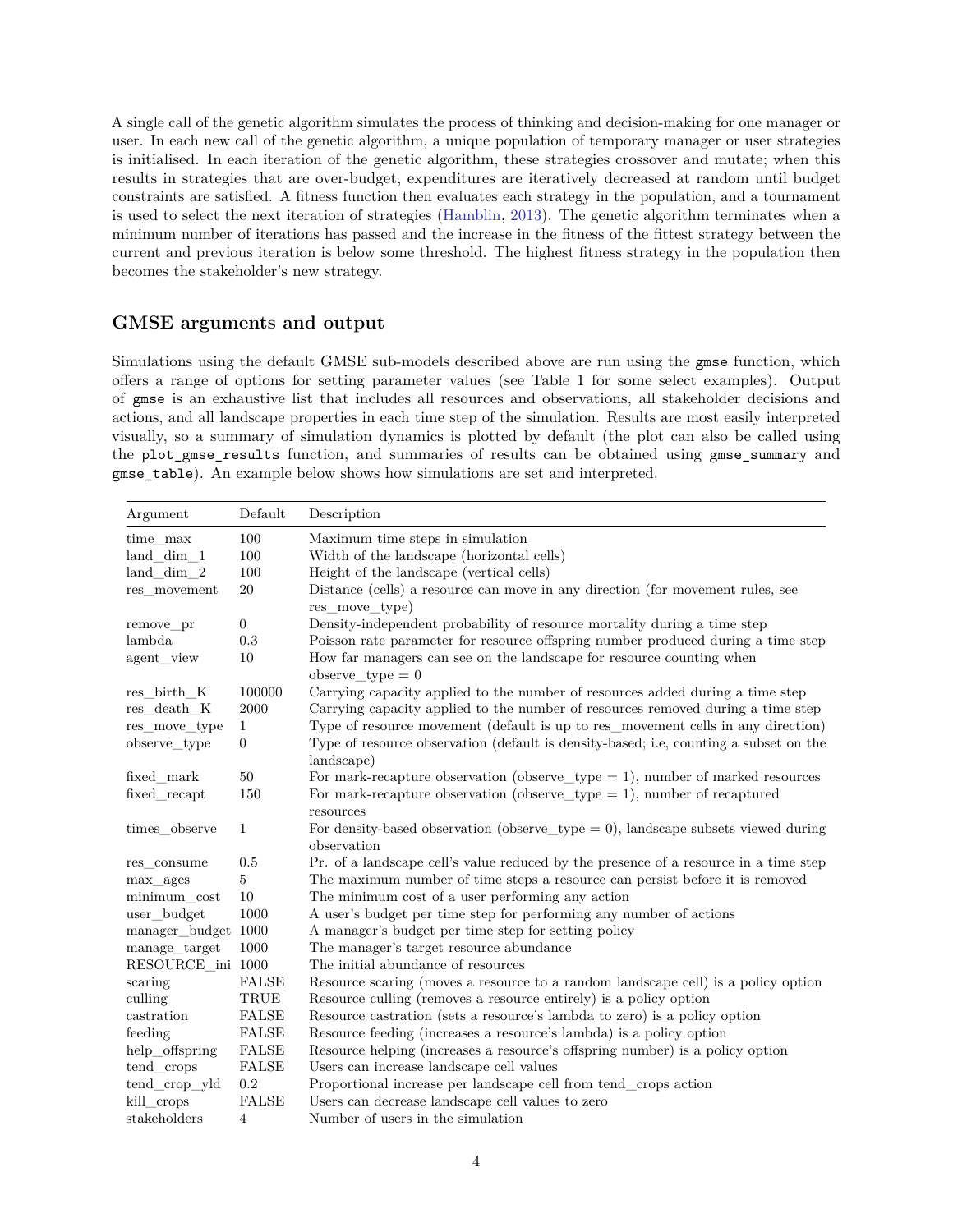A single call of the genetic algorithm simulates the process of thinking and decision-making for one manager or user. In each new call of the genetic algorithm, a unique population of temporary manager or user strategies is initialised. In each iteration of the genetic algorithm, these strategies crossover and mutate; when this results in strategies that are over-budget, expenditures are iteratively decreased at random until budget constraints are satisfied. A fitness function then evaluates each strategy in the population, and a tournament is used to select the next iteration of strategies [\(Hamblin,](#page-8-12) [2013\)](#page-8-12). The genetic algorithm terminates when a minimum number of iterations has passed and the increase in the fitness of the fittest strategy between the current and previous iteration is below some threshold. The highest fitness strategy in the population then becomes the stakeholder's new strategy.

#### **GMSE arguments and output**

Simulations using the default GMSE sub-models described above are run using the gmse function, which offers a range of options for setting parameter values (see Table 1 for some select examples). Output of gmse is an exhaustive list that includes all resources and observations, all stakeholder decisions and actions, and all landscape properties in each time step of the simulation. Results are most easily interpreted visually, so a summary of simulation dynamics is plotted by default (the plot can also be called using the plot\_gmse\_results function, and summaries of results can be obtained using gmse\_summary and gmse\_table). An example below shows how simulations are set and interpreted.

| Argument            | Default               | Description                                                                                         |
|---------------------|-----------------------|-----------------------------------------------------------------------------------------------------|
| time max            | 100                   | Maximum time steps in simulation                                                                    |
| land_dim_1          | 100                   | Width of the landscape (horizontal cells)                                                           |
| $land\_dim_2$       | 100                   | Height of the landscape (vertical cells)                                                            |
| res movement        | $20\,$                | Distance (cells) a resource can move in any direction (for movement rules, see                      |
|                     |                       | res move type)                                                                                      |
| remove_pr           | $\boldsymbol{0}$      | Density-independent probability of resource mortality during a time step                            |
| lambda              | 0.3                   | Poisson rate parameter for resource offspring number produced during a time step                    |
| agent_view          | 10                    | How far managers can see on the landscape for resource counting when<br>observe type $= 0$          |
| res_birth_K         | 100000                | Carrying capacity applied to the number of resources added during a time step                       |
| res_death_K         | 2000                  | Carrying capacity applied to the number of resources removed during a time step                     |
| res move type       | $\mathbf{1}$          | Type of resource movement (default is up to res_movement cells in any direction)                    |
| observe_type        | $\overline{0}$        | Type of resource observation (default is density-based; i.e., counting a subset on the              |
|                     |                       | landscape)                                                                                          |
| fixed mark          | $50\,$                | For mark-recapture observation (observe_type $= 1$ ), number of marked resources                    |
| fixed_recapt        | 150                   | For mark-recapture observation (observe_type = 1), number of recaptured<br>resources                |
| times observe       | $\mathbf{1}$          | For density-based observation (observe_type $= 0$ ), landscape subsets viewed during<br>observation |
| res consume         | 0.5                   | Pr. of a landscape cell's value reduced by the presence of a resource in a time step                |
| max ages            | 5                     | The maximum number of time steps a resource can persist before it is removed                        |
| minimum cost        | 10                    | The minimum cost of a user performing any action                                                    |
| user budget         | 1000                  | A user's budget per time step for performing any number of actions                                  |
| manager_budget 1000 |                       | A manager's budget per time step for setting policy                                                 |
| manage target       | 1000                  | The manager's target resource abundance                                                             |
| RESOURCE_ini 1000   |                       | The initial abundance of resources                                                                  |
| scaring             | <b>FALSE</b>          | Resource scaring (moves a resource to a random landscape cell) is a policy option                   |
| culling             | $\operatorname{TRUE}$ | Resource culling (removes a resource entirely) is a policy option                                   |
| castration          | <b>FALSE</b>          | Resource castration (sets a resource's lambda to zero) is a policy option                           |
| feeding             | ${\rm FALSE}$         | Resource feeding (increases a resource's lambda) is a policy option                                 |
| help_offspring      | <b>FALSE</b>          | Resource helping (increases a resource's offspring number) is a policy option                       |
| tend crops          | ${\rm FALSE}$         | Users can increase landscape cell values                                                            |
| tend_crop_yld       | $\rm 0.2$             | Proportional increase per landscape cell from tend_crops action                                     |
| kill_crops          | <b>FALSE</b>          | Users can decrease landscape cell values to zero                                                    |
| stakeholders        | 4                     | Number of users in the simulation                                                                   |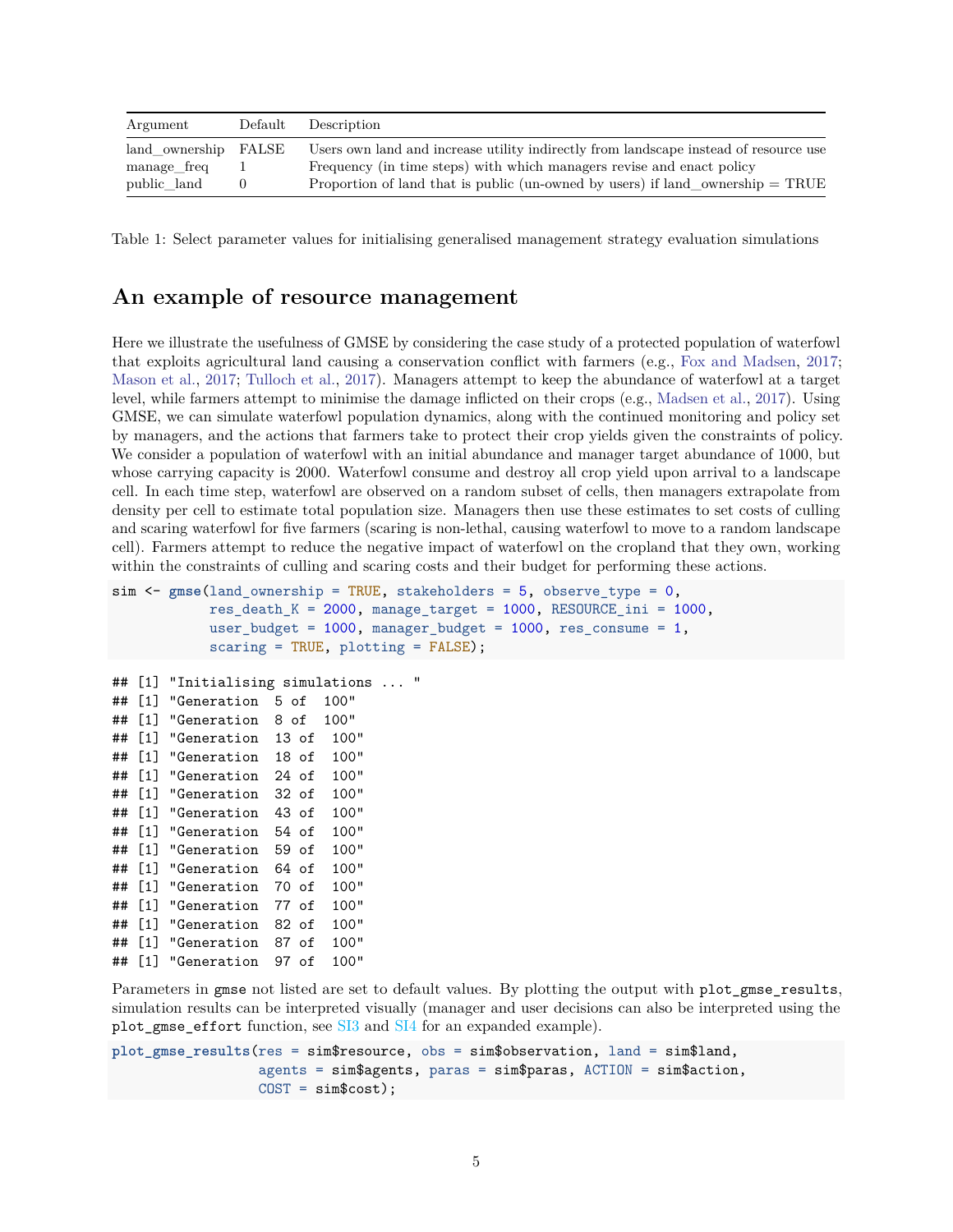| Argument             | Default Description                                                                     |
|----------------------|-----------------------------------------------------------------------------------------|
| land ownership FALSE | Users own land and increase utility indirectly from landscape instead of resource use   |
| manage freq          | Frequency (in time steps) with which managers revise and enact policy                   |
| public land          | Proportion of land that is public (un-owned by users) if land_ownership $= \text{TRUE}$ |

Table 1: Select parameter values for initialising generalised management strategy evaluation simulations

#### **An example of resource management**

Here we illustrate the usefulness of GMSE by considering the case study of a protected population of waterfowl that exploits agricultural land causing a conservation conflict with farmers (e.g., [Fox and Madsen,](#page-8-8) [2017;](#page-8-8) [Mason et al.,](#page-8-15) [2017;](#page-8-15) [Tulloch et al.,](#page-9-12) [2017\)](#page-9-12). Managers attempt to keep the abundance of waterfowl at a target level, while farmers attempt to minimise the damage inflicted on their crops (e.g., [Madsen et al.,](#page-8-16) [2017\)](#page-8-16). Using GMSE, we can simulate waterfowl population dynamics, along with the continued monitoring and policy set by managers, and the actions that farmers take to protect their crop yields given the constraints of policy. We consider a population of waterfowl with an initial abundance and manager target abundance of 1000, but whose carrying capacity is 2000. Waterfowl consume and destroy all crop yield upon arrival to a landscape cell. In each time step, waterfowl are observed on a random subset of cells, then managers extrapolate from density per cell to estimate total population size. Managers then use these estimates to set costs of culling and scaring waterfowl for five farmers (scaring is non-lethal, causing waterfowl to move to a random landscape cell). Farmers attempt to reduce the negative impact of waterfowl on the cropland that they own, working within the constraints of culling and scaring costs and their budget for performing these actions.

```
sim <- gmse(land_ownership = TRUE, stakeholders = 5, observe_type = 0,
           res\_death_K = 2000, manage_target = 1000, RESOURCE_ini = 1000,
           user budget = 1000, manager budget = 1000, res consume = 1,
           scaring = TRUE, plotting = FALSE);
## [1] "Initialising simulations ... "
## [1] "Generation 5 of 100"
## [1] "Generation 8 of 100"
## [1] "Generation 13 of 100"
## [1] "Generation 18 of 100"
## [1] "Generation 24 of 100"
## [1] "Generation 32 of 100"
## [1] "Generation 43 of 100"
## [1] "Generation 54 of 100"
## [1] "Generation 59 of 100"
## [1] "Generation 64 of 100"
## [1] "Generation 70 of 100"
## [1] "Generation 77 of 100"
## [1] "Generation 82 of 100"
## [1] "Generation 87 of 100"
## [1] "Generation 97 of 100"
```
Parameters in gmse not listed are set to default values. By plotting the output with plot gmse results, simulation results can be interpreted visually (manager and user decisions can also be interpreted using the plot\_gmse\_effort function, see [SI3](#page-0-0) and [SI4](#page-0-0) for an expanded example).

```
plot_gmse_results(res = sim$resource, obs = sim$observation, land = sim$land,
                  agents = sim$agents, paras = sim$paras, ACTION = sim$action,
                  COST = sim$cost);
```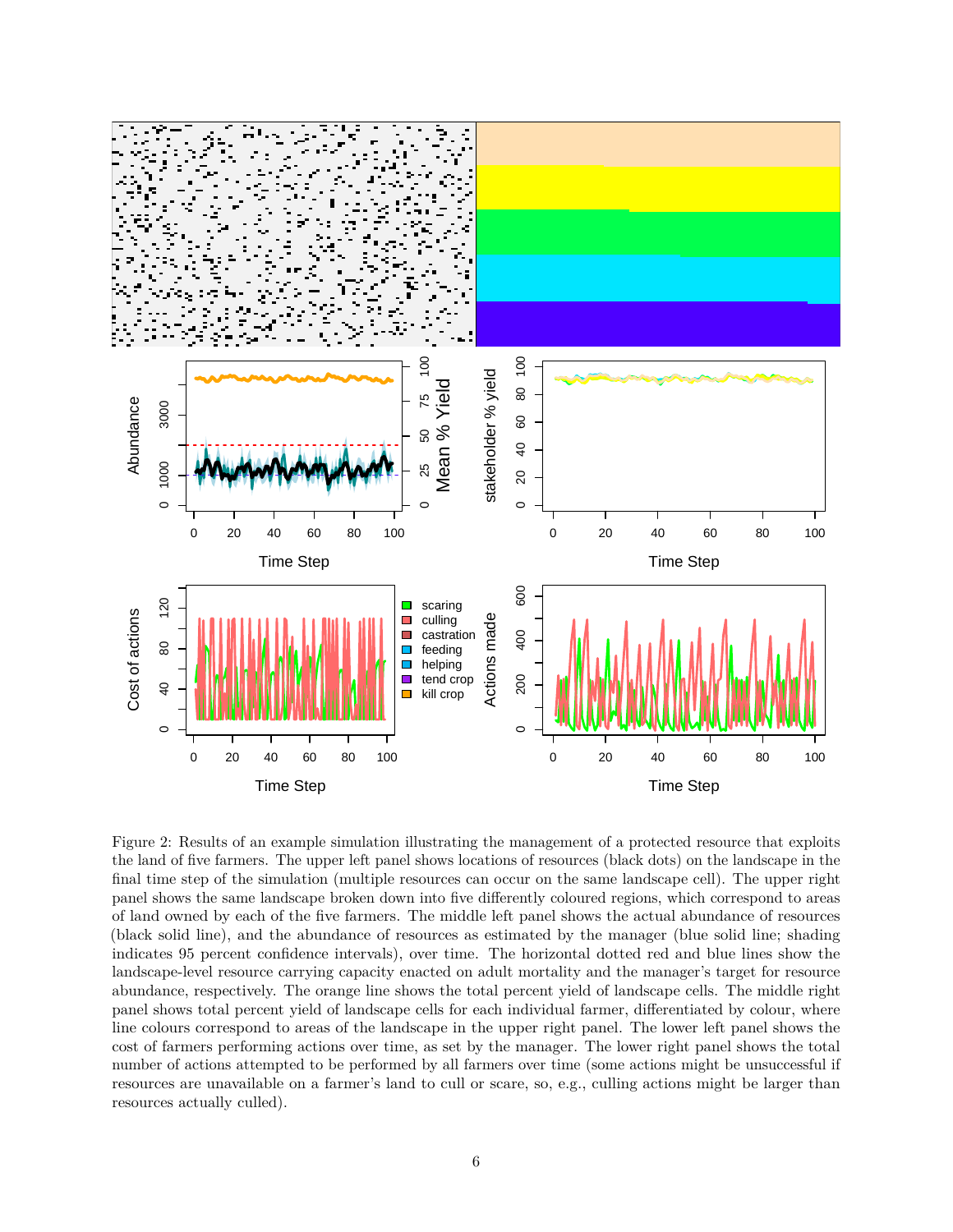

Figure 2: Results of an example simulation illustrating the management of a protected resource that exploits the land of five farmers. The upper left panel shows locations of resources (black dots) on the landscape in the final time step of the simulation (multiple resources can occur on the same landscape cell). The upper right panel shows the same landscape broken down into five differently coloured regions, which correspond to areas of land owned by each of the five farmers. The middle left panel shows the actual abundance of resources (black solid line), and the abundance of resources as estimated by the manager (blue solid line; shading indicates 95 percent confidence intervals), over time. The horizontal dotted red and blue lines show the landscape-level resource carrying capacity enacted on adult mortality and the manager's target for resource abundance, respectively. The orange line shows the total percent yield of landscape cells. The middle right panel shows total percent yield of landscape cells for each individual farmer, differentiated by colour, where line colours correspond to areas of the landscape in the upper right panel. The lower left panel shows the cost of farmers performing actions over time, as set by the manager. The lower right panel shows the total number of actions attempted to be performed by all farmers over time (some actions might be unsuccessful if resources are unavailable on a farmer's land to cull or scare, so, e.g., culling actions might be larger than resources actually culled).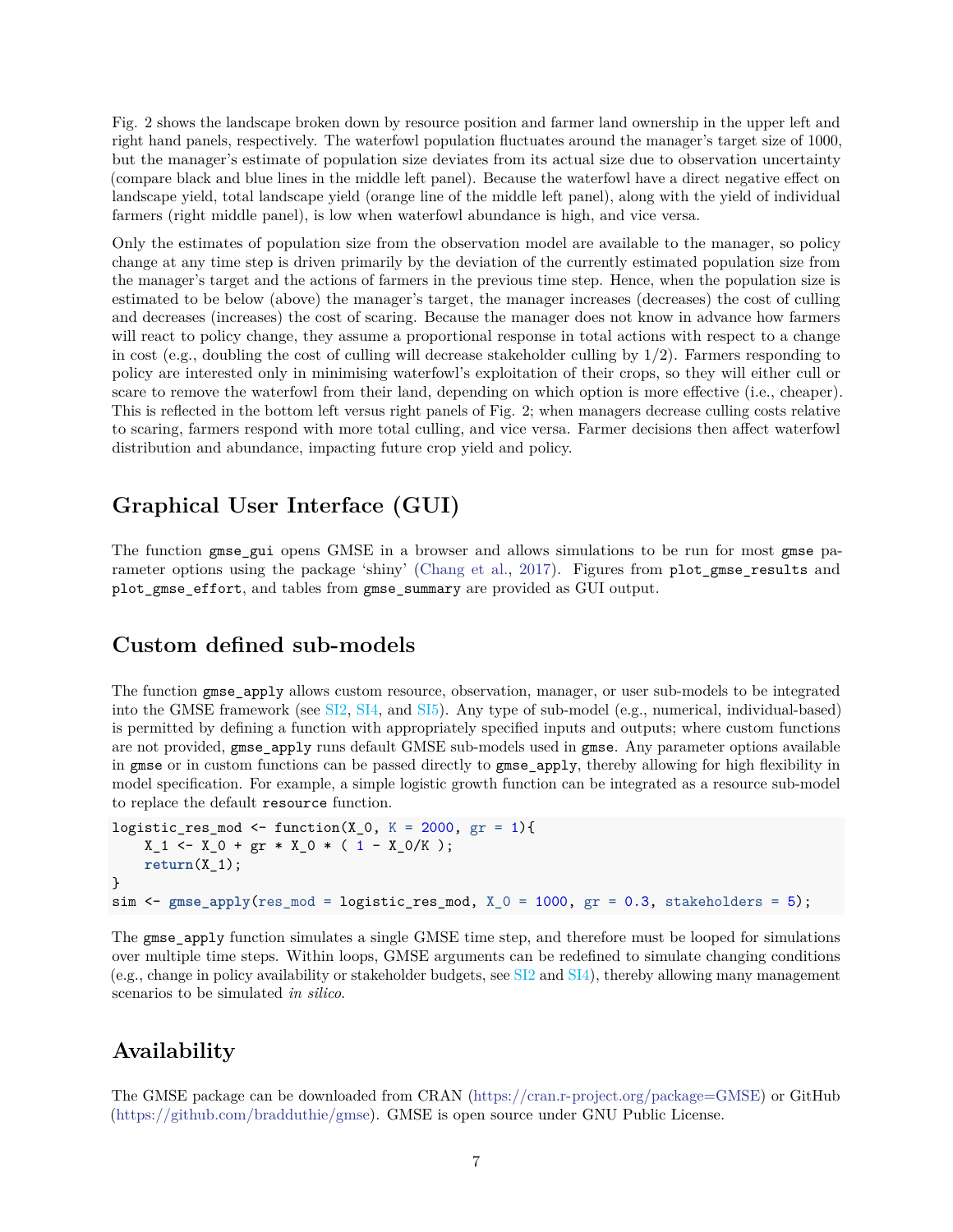Fig. 2 shows the landscape broken down by resource position and farmer land ownership in the upper left and right hand panels, respectively. The waterfowl population fluctuates around the manager's target size of 1000, but the manager's estimate of population size deviates from its actual size due to observation uncertainty (compare black and blue lines in the middle left panel). Because the waterfowl have a direct negative effect on landscape yield, total landscape yield (orange line of the middle left panel), along with the yield of individual farmers (right middle panel), is low when waterfowl abundance is high, and vice versa.

Only the estimates of population size from the observation model are available to the manager, so policy change at any time step is driven primarily by the deviation of the currently estimated population size from the manager's target and the actions of farmers in the previous time step. Hence, when the population size is estimated to be below (above) the manager's target, the manager increases (decreases) the cost of culling and decreases (increases) the cost of scaring. Because the manager does not know in advance how farmers will react to policy change, they assume a proportional response in total actions with respect to a change in cost (e.g., doubling the cost of culling will decrease stakeholder culling by 1*/*2). Farmers responding to policy are interested only in minimising waterfowl's exploitation of their crops, so they will either cull or scare to remove the waterfowl from their land, depending on which option is more effective (i.e., cheaper). This is reflected in the bottom left versus right panels of Fig. 2; when managers decrease culling costs relative to scaring, farmers respond with more total culling, and vice versa. Farmer decisions then affect waterfowl distribution and abundance, impacting future crop yield and policy.

# **Graphical User Interface (GUI)**

The function gmse gui opens GMSE in a browser and allows simulations to be run for most gmse pa-rameter options using the package 'shiny' [\(Chang et al.,](#page-7-9) [2017\)](#page-7-9). Figures from plot\_gmse\_results and plot gmse effort, and tables from gmse summary are provided as GUI output.

#### **Custom defined sub-models**

The function gmse\_apply allows custom resource, observation, manager, or user sub-models to be integrated into the GMSE framework (see [SI2,](#page-0-0) [SI4,](#page-0-0) and [SI5\)](#page-0-0). Any type of sub-model (e.g., numerical, individual-based) is permitted by defining a function with appropriately specified inputs and outputs; where custom functions are not provided, gmse apply runs default GMSE sub-models used in gmse. Any parameter options available in gmse or in custom functions can be passed directly to gmse\_apply, thereby allowing for high flexibility in model specification. For example, a simple logistic growth function can be integrated as a resource sub-model to replace the default resource function.

```
logistic_res_mod <- function(X_0, K = 2000, gr = 1){
    X_1 \leftarrow X_0 + g r * X_0 * (1 - X_0/K);return(X_1);
}
sim < gmse_apply(res_mod = logistic_res_mod, X_0 = 1000, gr = 0.3, stakeholders = 5);
```
The gmse\_apply function simulates a single GMSE time step, and therefore must be looped for simulations over multiple time steps. Within loops, GMSE arguments can be redefined to simulate changing conditions (e.g., change in policy availability or stakeholder budgets, see [SI2](#page-0-0) and [SI4\)](#page-0-0), thereby allowing many management scenarios to be simulated *in silico*.

# **Availability**

The GMSE package can be downloaded from CRAN [\(https://cran.r-project.org/package=GMSE\)](https://cran.r-project.org/package=GMSE) or GitHub [\(https://github.com/bradduthie/gmse\)](https://github.com/bradduthie/gmse). GMSE is open source under GNU Public License.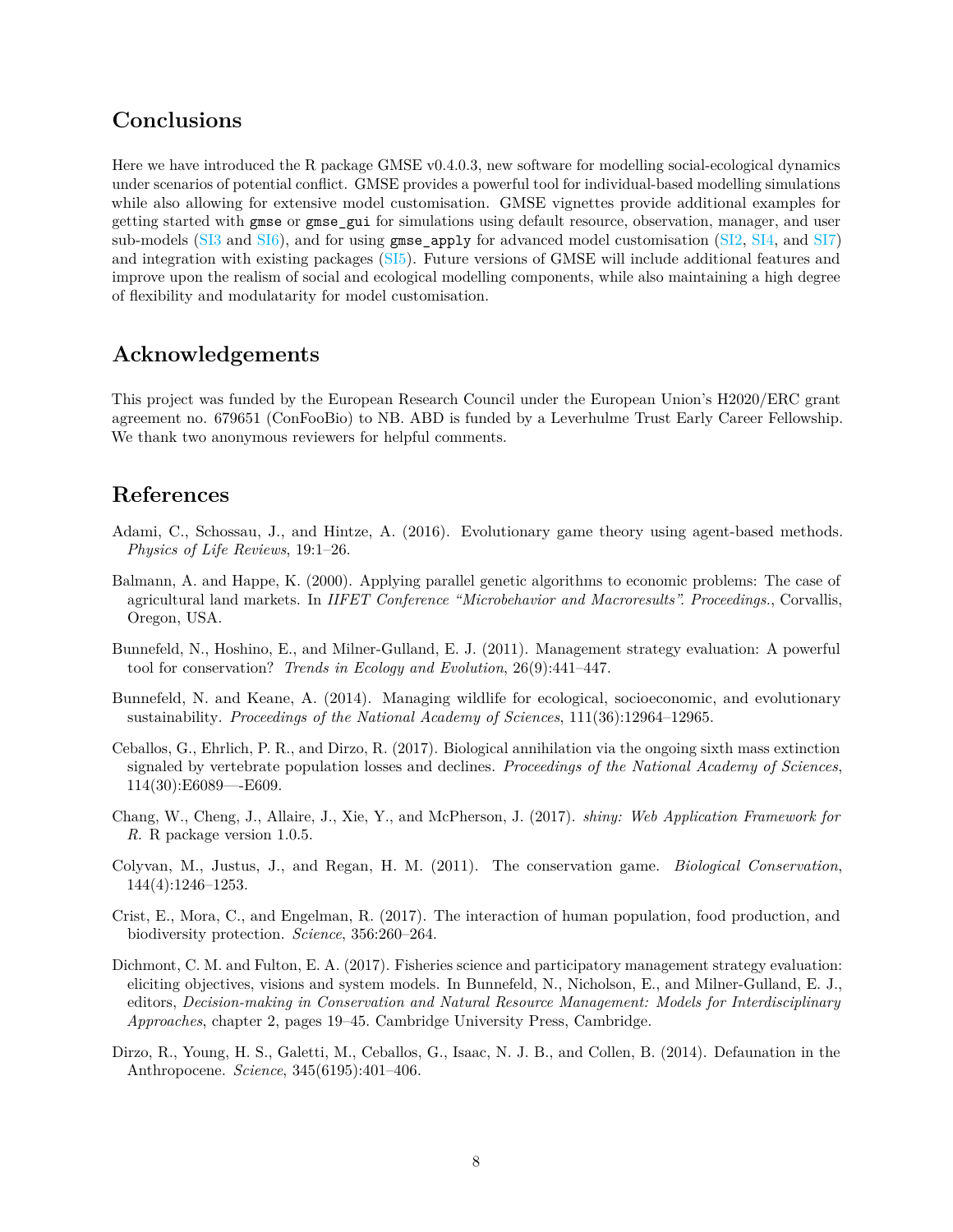#### **Conclusions**

Here we have introduced the R package GMSE v0.4.0.3, new software for modelling social-ecological dynamics under scenarios of potential conflict. GMSE provides a powerful tool for individual-based modelling simulations while also allowing for extensive model customisation. GMSE vignettes provide additional examples for getting started with gmse or gmse\_gui for simulations using default resource, observation, manager, and user sub-models [\(SI3](#page-0-0) and [SI6\)](#page-0-0), and for using  $\text{gmse\_apply}$  for advanced model customisation [\(SI2,](#page-0-0) [SI4,](#page-0-0) and [SI7\)](#page-0-0) and integration with existing packages [\(SI5\)](#page-0-0). Future versions of GMSE will include additional features and improve upon the realism of social and ecological modelling components, while also maintaining a high degree of flexibility and modulatarity for model customisation.

# **Acknowledgements**

This project was funded by the European Research Council under the European Union's H2020/ERC grant agreement no. 679651 (ConFooBio) to NB. ABD is funded by a Leverhulme Trust Early Career Fellowship. We thank two anonymous reviewers for helpful comments.

### **References**

- <span id="page-7-7"></span>Adami, C., Schossau, J., and Hintze, A. (2016). Evolutionary game theory using agent-based methods. *Physics of Life Reviews*, 19:1–26.
- <span id="page-7-8"></span>Balmann, A. and Happe, K. (2000). Applying parallel genetic algorithms to economic problems: The case of agricultural land markets. In *IIFET Conference "Microbehavior and Macroresults". Proceedings.*, Corvallis, Oregon, USA.
- <span id="page-7-3"></span>Bunnefeld, N., Hoshino, E., and Milner-Gulland, E. J. (2011). Management strategy evaluation: A powerful tool for conservation? *Trends in Ecology and Evolution*, 26(9):441–447.
- <span id="page-7-4"></span>Bunnefeld, N. and Keane, A. (2014). Managing wildlife for ecological, socioeconomic, and evolutionary sustainability. *Proceedings of the National Academy of Sciences*, 111(36):12964–12965.
- <span id="page-7-1"></span>Ceballos, G., Ehrlich, P. R., and Dirzo, R. (2017). Biological annihilation via the ongoing sixth mass extinction signaled by vertebrate population losses and declines. *Proceedings of the National Academy of Sciences*, 114(30):E6089—-E609.
- <span id="page-7-9"></span>Chang, W., Cheng, J., Allaire, J., Xie, Y., and McPherson, J. (2017). *shiny: Web Application Framework for R*. R package version 1.0.5.
- <span id="page-7-6"></span>Colyvan, M., Justus, J., and Regan, H. M. (2011). The conservation game. *Biological Conservation*, 144(4):1246–1253.
- <span id="page-7-2"></span>Crist, E., Mora, C., and Engelman, R. (2017). The interaction of human population, food production, and biodiversity protection. *Science*, 356:260–264.
- <span id="page-7-5"></span>Dichmont, C. M. and Fulton, E. A. (2017). Fisheries science and participatory management strategy evaluation: eliciting objectives, visions and system models. In Bunnefeld, N., Nicholson, E., and Milner-Gulland, E. J., editors, *Decision-making in Conservation and Natural Resource Management: Models for Interdisciplinary Approaches*, chapter 2, pages 19–45. Cambridge University Press, Cambridge.
- <span id="page-7-0"></span>Dirzo, R., Young, H. S., Galetti, M., Ceballos, G., Isaac, N. J. B., and Collen, B. (2014). Defaunation in the Anthropocene. *Science*, 345(6195):401–406.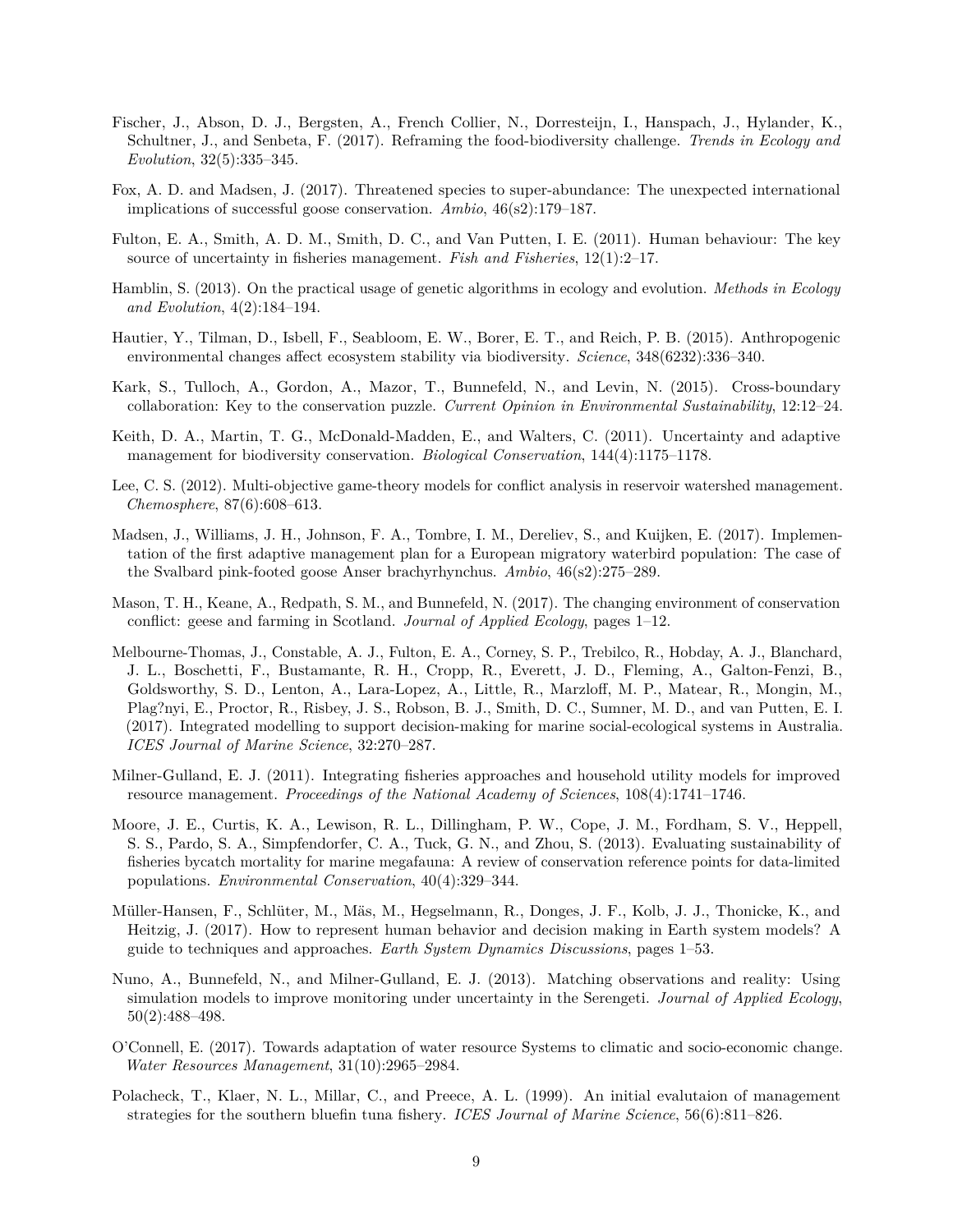- <span id="page-8-2"></span>Fischer, J., Abson, D. J., Bergsten, A., French Collier, N., Dorresteijn, I., Hanspach, J., Hylander, K., Schultner, J., and Senbeta, F. (2017). Reframing the food-biodiversity challenge. *Trends in Ecology and Evolution*, 32(5):335–345.
- <span id="page-8-8"></span>Fox, A. D. and Madsen, J. (2017). Threatened species to super-abundance: The unexpected international implications of successful goose conservation. *Ambio*, 46(s2):179–187.
- <span id="page-8-6"></span>Fulton, E. A., Smith, A. D. M., Smith, D. C., and Van Putten, I. E. (2011). Human behaviour: The key source of uncertainty in fisheries management. *Fish and Fisheries*, 12(1):2–17.
- <span id="page-8-12"></span>Hamblin, S. (2013). On the practical usage of genetic algorithms in ecology and evolution. *Methods in Ecology and Evolution*, 4(2):184–194.
- <span id="page-8-0"></span>Hautier, Y., Tilman, D., Isbell, F., Seabloom, E. W., Borer, E. T., and Reich, P. B. (2015). Anthropogenic environmental changes affect ecosystem stability via biodiversity. *Science*, 348(6232):336–340.
- <span id="page-8-11"></span>Kark, S., Tulloch, A., Gordon, A., Mazor, T., Bunnefeld, N., and Levin, N. (2015). Cross-boundary collaboration: Key to the conservation puzzle. *Current Opinion in Environmental Sustainability*, 12:12–24.
- <span id="page-8-3"></span>Keith, D. A., Martin, T. G., McDonald-Madden, E., and Walters, C. (2011). Uncertainty and adaptive management for biodiversity conservation. *Biological Conservation*, 144(4):1175–1178.
- <span id="page-8-10"></span>Lee, C. S. (2012). Multi-objective game-theory models for conflict analysis in reservoir watershed management. *Chemosphere*, 87(6):608–613.
- <span id="page-8-16"></span>Madsen, J., Williams, J. H., Johnson, F. A., Tombre, I. M., Dereliev, S., and Kuijken, E. (2017). Implementation of the first adaptive management plan for a European migratory waterbird population: The case of the Svalbard pink-footed goose Anser brachyrhynchus. *Ambio*, 46(s2):275–289.
- <span id="page-8-15"></span>Mason, T. H., Keane, A., Redpath, S. M., and Bunnefeld, N. (2017). The changing environment of conservation conflict: geese and farming in Scotland. *Journal of Applied Ecology*, pages 1–12.
- <span id="page-8-7"></span>Melbourne-Thomas, J., Constable, A. J., Fulton, E. A., Corney, S. P., Trebilco, R., Hobday, A. J., Blanchard, J. L., Boschetti, F., Bustamante, R. H., Cropp, R., Everett, J. D., Fleming, A., Galton-Fenzi, B., Goldsworthy, S. D., Lenton, A., Lara-Lopez, A., Little, R., Marzloff, M. P., Matear, R., Mongin, M., Plag?nyi, E., Proctor, R., Risbey, J. S., Robson, B. J., Smith, D. C., Sumner, M. D., and van Putten, E. I. (2017). Integrated modelling to support decision-making for marine social-ecological systems in Australia. *ICES Journal of Marine Science*, 32:270–287.
- <span id="page-8-13"></span>Milner-Gulland, E. J. (2011). Integrating fisheries approaches and household utility models for improved resource management. *Proceedings of the National Academy of Sciences*, 108(4):1741–1746.
- <span id="page-8-5"></span>Moore, J. E., Curtis, K. A., Lewison, R. L., Dillingham, P. W., Cope, J. M., Fordham, S. V., Heppell, S. S., Pardo, S. A., Simpfendorfer, C. A., Tuck, G. N., and Zhou, S. (2013). Evaluating sustainability of fisheries bycatch mortality for marine megafauna: A review of conservation reference points for data-limited populations. *Environmental Conservation*, 40(4):329–344.
- <span id="page-8-14"></span>Müller-Hansen, F., Schlüter, M., Mäs, M., Hegselmann, R., Donges, J. F., Kolb, J. J., Thonicke, K., and Heitzig, J. (2017). How to represent human behavior and decision making in Earth system models? A guide to techniques and approaches. *Earth System Dynamics Discussions*, pages 1–53.
- <span id="page-8-9"></span>Nuno, A., Bunnefeld, N., and Milner-Gulland, E. J. (2013). Matching observations and reality: Using simulation models to improve monitoring under uncertainty in the Serengeti. *Journal of Applied Ecology*, 50(2):488–498.
- <span id="page-8-1"></span>O'Connell, E. (2017). Towards adaptation of water resource Systems to climatic and socio-economic change. *Water Resources Management*, 31(10):2965–2984.
- <span id="page-8-4"></span>Polacheck, T., Klaer, N. L., Millar, C., and Preece, A. L. (1999). An initial evalutaion of management strategies for the southern bluefin tuna fishery. *ICES Journal of Marine Science*, 56(6):811–826.